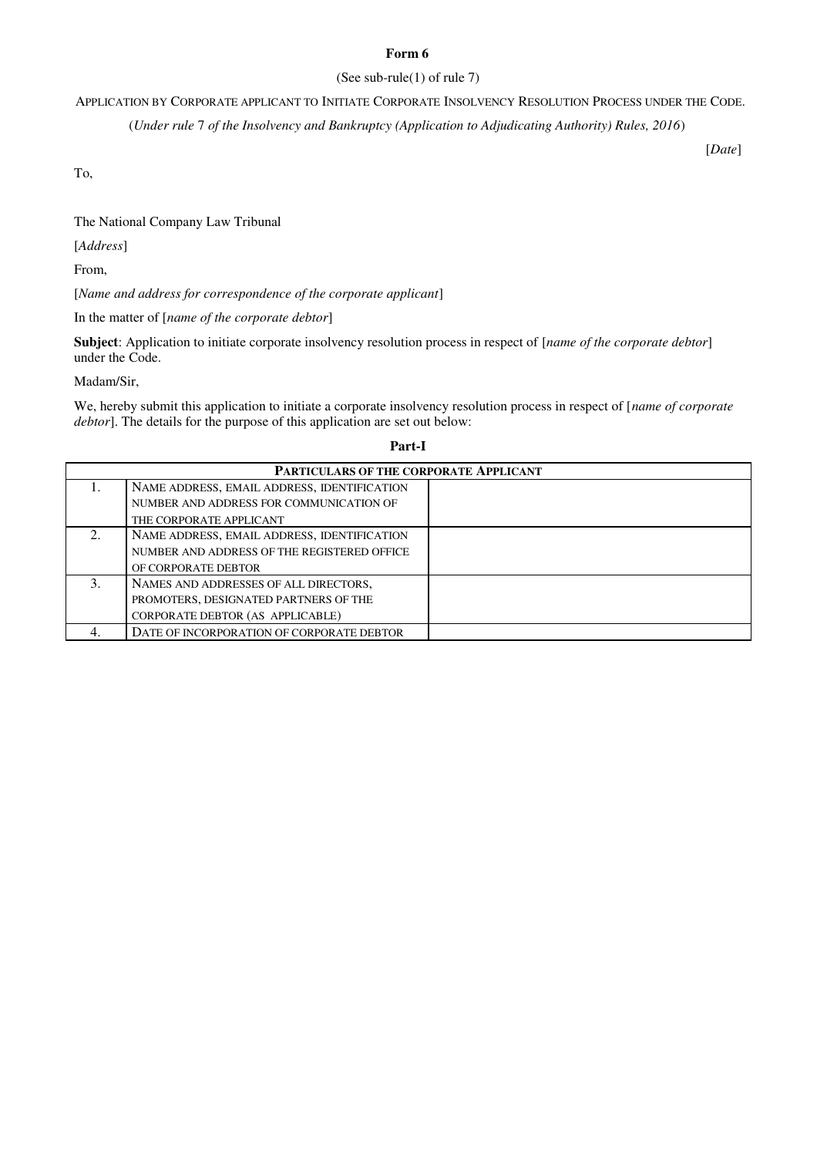# **Form 6**

## (See sub-rule(1) of rule 7)

APPLICATION BY CORPORATE APPLICANT TO INITIATE CORPORATE INSOLVENCY RESOLUTION PROCESS UNDER THE CODE.

(*Under rule* 7 *of the Insolvency and Bankruptcy (Application to Adjudicating Authority) Rules, 2016*)

[*Date*]

To,

The National Company Law Tribunal

[*Address*]

From,

[*Name and address for correspondence of the corporate applicant*]

In the matter of [*name of the corporate debtor*]

**Subject**: Application to initiate corporate insolvency resolution process in respect of [*name of the corporate debtor*] under the Code.

Madam/Sir,

We, hereby submit this application to initiate a corporate insolvency resolution process in respect of [*name of corporate debtor*]. The details for the purpose of this application are set out below:

### **Part-I**

| <b>PARTICULARS OF THE CORPORATE APPLICANT</b> |                                             |  |  |
|-----------------------------------------------|---------------------------------------------|--|--|
|                                               | NAME ADDRESS, EMAIL ADDRESS, IDENTIFICATION |  |  |
|                                               | NUMBER AND ADDRESS FOR COMMUNICATION OF     |  |  |
|                                               | THE CORPORATE APPLICANT                     |  |  |
| 2.                                            | NAME ADDRESS, EMAIL ADDRESS, IDENTIFICATION |  |  |
|                                               | NUMBER AND ADDRESS OF THE REGISTERED OFFICE |  |  |
|                                               | OF CORPORATE DEBTOR                         |  |  |
| 3.                                            | NAMES AND ADDRESSES OF ALL DIRECTORS,       |  |  |
|                                               | PROMOTERS, DESIGNATED PARTNERS OF THE       |  |  |
|                                               | CORPORATE DEBTOR (AS APPLICABLE)            |  |  |
|                                               | DATE OF INCORPORATION OF CORPORATE DEBTOR   |  |  |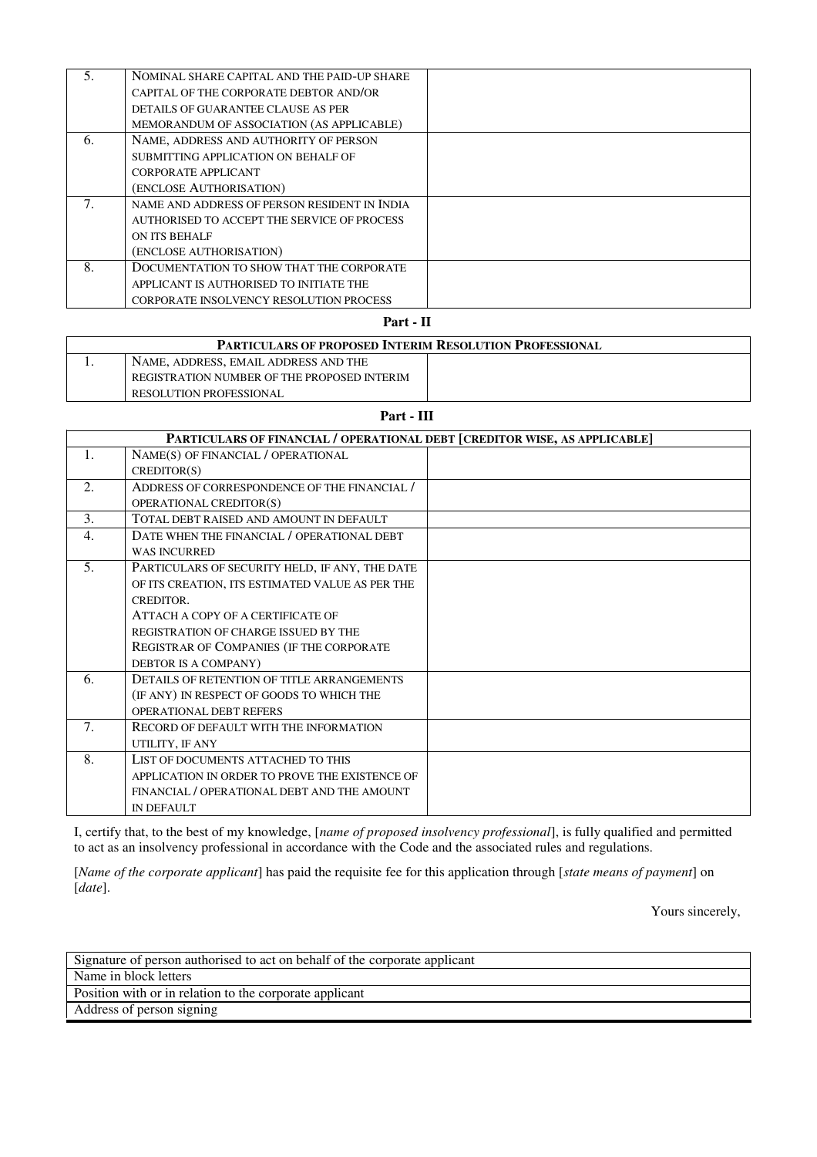| 5. | NOMINAL SHARE CAPITAL AND THE PAID-UP SHARE    |  |
|----|------------------------------------------------|--|
|    | CAPITAL OF THE CORPORATE DEBTOR AND/OR         |  |
|    | DETAILS OF GUARANTEE CLAUSE AS PER             |  |
|    | MEMORANDUM OF ASSOCIATION (AS APPLICABLE)      |  |
| 6. | NAME, ADDRESS AND AUTHORITY OF PERSON          |  |
|    | SUBMITTING APPLICATION ON BEHALF OF            |  |
|    | CORPORATE APPLICANT                            |  |
|    | (ENCLOSE AUTHORISATION)                        |  |
| 7. | NAME AND ADDRESS OF PERSON RESIDENT IN INDIA   |  |
|    | AUTHORISED TO ACCEPT THE SERVICE OF PROCESS    |  |
|    | ON ITS BEHALF                                  |  |
|    | (ENCLOSE AUTHORISATION)                        |  |
| 8. | DOCUMENTATION TO SHOW THAT THE CORPORATE       |  |
|    | APPLICANT IS AUTHORISED TO INITIATE THE        |  |
|    | <b>CORPORATE INSOLVENCY RESOLUTION PROCESS</b> |  |

**Part - II**

| <b>PARTICULARS OF PROPOSED INTERIM RESOLUTION PROFESSIONAL</b> |                                             |  |  |  |
|----------------------------------------------------------------|---------------------------------------------|--|--|--|
|                                                                | NAME, ADDRESS, EMAIL ADDRESS AND THE        |  |  |  |
|                                                                | REGISTRATION NUMBER OF THE PROPOSED INTERIM |  |  |  |
|                                                                | <b>RESOLUTION PROFESSIONAL</b>              |  |  |  |

**Part - III**

| PARTICULARS OF FINANCIAL / OPERATIONAL DEBT [CREDITOR WISE, AS APPLICABLE] |                                                 |  |
|----------------------------------------------------------------------------|-------------------------------------------------|--|
| 1.                                                                         | NAME(S) OF FINANCIAL / OPERATIONAL              |  |
|                                                                            | CREDITION(S)                                    |  |
| 2.                                                                         | ADDRESS OF CORRESPONDENCE OF THE FINANCIAL /    |  |
|                                                                            | OPERATIONAL CREDITOR(S)                         |  |
| 3.                                                                         | TOTAL DEBT RAISED AND AMOUNT IN DEFAULT         |  |
| 4.                                                                         | DATE WHEN THE FINANCIAL / OPERATIONAL DEBT      |  |
|                                                                            | <b>WAS INCURRED</b>                             |  |
| 5.                                                                         | PARTICULARS OF SECURITY HELD, IF ANY, THE DATE  |  |
|                                                                            | OF ITS CREATION, ITS ESTIMATED VALUE AS PER THE |  |
|                                                                            | CREDITOR.                                       |  |
|                                                                            | ATTACH A COPY OF A CERTIFICATE OF               |  |
|                                                                            | REGISTRATION OF CHARGE ISSUED BY THE            |  |
|                                                                            | REGISTRAR OF COMPANIES (IF THE CORPORATE        |  |
|                                                                            | DEBTOR IS A COMPANY)                            |  |
| 6.                                                                         | DETAILS OF RETENTION OF TITLE ARRANGEMENTS      |  |
|                                                                            | (IF ANY) IN RESPECT OF GOODS TO WHICH THE       |  |
|                                                                            | <b>OPERATIONAL DEBT REFERS</b>                  |  |
| 7.                                                                         | <b>RECORD OF DEFAULT WITH THE INFORMATION</b>   |  |
|                                                                            | UTILITY, IF ANY                                 |  |
| 8.                                                                         | LIST OF DOCUMENTS ATTACHED TO THIS              |  |
|                                                                            | APPLICATION IN ORDER TO PROVE THE EXISTENCE OF  |  |
|                                                                            | FINANCIAL / OPERATIONAL DEBT AND THE AMOUNT     |  |
|                                                                            | <b>IN DEFAULT</b>                               |  |

I, certify that, to the best of my knowledge, [*name of proposed insolvency professional*], is fully qualified and permitted to act as an insolvency professional in accordance with the Code and the associated rules and regulations.

[*Name of the corporate applicant*] has paid the requisite fee for this application through [*state means of payment*] on [*date*].

Yours sincerely,

| Signature of person authorised to act on behalf of the corporate applicant |  |  |
|----------------------------------------------------------------------------|--|--|
| Name in block letters                                                      |  |  |
| Position with or in relation to the corporate applicant                    |  |  |
| Address of person signing                                                  |  |  |